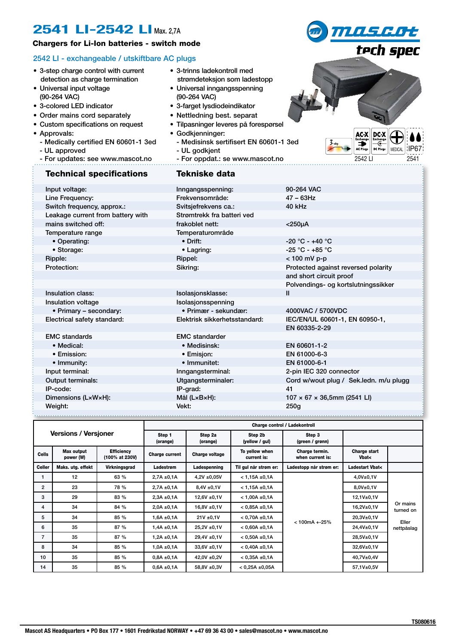## **2541 LI-2542 LI** Max. 2,7A

• 3-step charge control with current detection as charge termination

- Medically certified EN 60601-1 3ed

• Universal input voltage (90-264 VAC)

• 3-colored LED indicator • Order mains cord separately • Custom specifications on request

• Approvals:

- UL approved

## Chargers for Li-Ion batteries - switch mode

## 2542 LI - exchangeable / utskiftbare AC plugs

TILAS.G.Ot<br>tech spec



| - For updates: see www.mascot.no  | - For oppdat.: se www.mascot.no |                                          | 2542 LI | 2541 |
|-----------------------------------|---------------------------------|------------------------------------------|---------|------|
| <b>Technical specifications</b>   | Tekniske data                   |                                          |         |      |
| Input voltage:                    | Inngangsspenning:               | 90-264 VAC                               |         |      |
| Line Frequency:                   | Frekvensområde:                 | $47 - 63$ Hz                             |         |      |
| Switch frequency, approx.:        | Svitsjefrekvens ca.:            | 40 kHz                                   |         |      |
| Leakage current from battery with | Strømtrekk fra batteri ved      |                                          |         |      |
| mains switched off:               | frakoblet nett:                 | $<$ 250 $\mu$ A                          |         |      |
| Temperature range                 | Temperaturområde                |                                          |         |      |
| • Operating:                      | $\bullet$ Drift:                | $-20 °C - +40 °C$                        |         |      |
| • Storage:                        | • Lagring:                      | $-25 °C - +85 °C$                        |         |      |
| Ripple:                           | Rippel:                         | < 100 mV p-p                             |         |      |
| Protection:                       | Sikring:                        | Protected against reversed polarity      |         |      |
|                                   |                                 | and short circuit proof                  |         |      |
|                                   |                                 | Polvendings- og kortslutningssikker      |         |      |
| Insulation class:                 | Isolasjonsklasse:               | $\mathbf{H}$                             |         |      |
| Insulation voltage                | Isolasjonsspenning              |                                          |         |      |
| • Primary - secondary:            | • Primær - sekundær:            | 4000VAC / 5700VDC                        |         |      |
| Electrical safety standard:       | Elektrisk sikkerhetsstandard:   | IEC/EN/UL 60601-1, EN 60950-1,           |         |      |
|                                   |                                 | EN 60335-2-29                            |         |      |
| <b>EMC</b> standards              | <b>EMC</b> standarder           |                                          |         |      |
| • Medical:                        | • Medisinsk:                    | EN 60601-1-2                             |         |      |
| • Emission:                       | • Emisjon:                      | EN 61000-6-3                             |         |      |
| • Immunity:                       | • Immunitet:                    | EN 61000-6-1                             |         |      |
| Input terminal:                   | Inngangsterminal:               | 2-pin IEC 320 connector                  |         |      |
| Output terminals:                 | Utgangsterminaler:              | Cord w/wout plug / Sek.ledn. m/u plugg   |         |      |
| IP-code:                          | IP-grad:                        | 41                                       |         |      |
| Dimensions (LxWxH):               | Mål (LxBxH):                    | $107 \times 67 \times 36,5$ mm (2541 LI) |         |      |
| Weight:                           | Vekt:                           | 250 <sub>g</sub>                         |         |      |

• 3-trinns ladekontroll med

• 3-farget lysdiodeindikator • Nettledning best. separat

(90-264 VAC)

• Godkjenninger:

- UL godkjent

strømdeteksjon som ladestopp • Universal inngangsspenning

• Tilpasninger leveres på forespørsel

|                             |                         | Charge control / Ladekontroll       |                       |                           |                               |                                    |                                 |                       |
|-----------------------------|-------------------------|-------------------------------------|-----------------------|---------------------------|-------------------------------|------------------------------------|---------------------------------|-----------------------|
| <b>Versions / Versioner</b> |                         | Step 1<br>(orange)                  | Step 2a<br>(orange)   | Step 2b<br>(yellow / gul) | Step 3<br>(green / grønn)     |                                    |                                 |                       |
| Cells                       | Max output<br>power (W) | <b>Efficiency</b><br>(100% at 230V) | <b>Charge current</b> | Charge voltage            | To yellow when<br>current is: | Charge termin.<br>when current is: | Charge start<br><b>Vbat&lt;</b> |                       |
| <b>Celler</b>               | Maks. utg. effekt       | Virkningsgrad                       | Ladestrøm             | Ladespenning              | Til gul når strøm er:         | Ladestopp når strøm er:            | <b>Ladestart Vbat&lt;</b>       |                       |
|                             | 12                      | 63 %                                | $2,7A \pm 0,1A$       | $4,2V \pm 0,05V$          | $<$ 1,15A ±0,1A               |                                    | $4,0V \pm 0,1V$                 |                       |
| $\overline{2}$              | 23                      | 78 %                                | $2,7A \pm 0,1A$       | $8,4V = 0,1V$             | $<$ 1,15A ±0,1A               |                                    | 8,0V±0,1V                       |                       |
| 3                           | 29                      | 83 %                                | $2,3A \pm 0,1A$       | $12,6V \pm 0,1V$          | $< 1,00A \pm 0,1A$            |                                    | 12,1V±0,1V                      |                       |
| 4                           | 34                      | 84 %                                | $2,0A \pm 0,1A$       | $16,8V \pm 0,1V$          | $< 0.85A + 0.1A$              |                                    | 16,2V±0,1V                      | Or mains<br>turned on |
| 5                           | 34                      | 85 %                                | $1,6A \pm 0,1A$       | $21V \pm 0,1V$            | $< 0.70A + 0.1A$              | $< 100 \text{mA} + 25\%$           | 20,3V±0,1V                      | Eller                 |
| 6                           | 35                      | 87 %                                | $1,4A \pm 0,1A$       | $25,2V + 0,1V$            | $0.60A + 0.1A$                |                                    | 24,4V±0,1V                      | nettpåslag            |
| $\overline{7}$              | 35                      | 87%                                 | $1,2A \pm 0,1A$       | $29,4V + 0,1V$            | $< 0.50A + 0.1A$              |                                    | 28,5V±0,1V                      |                       |
| 8                           | 34                      | 85 %                                | $1,0A \pm 0,1A$       | $33,6V + 0,1V$            | $< 0,40A \pm 0,1A$            |                                    | 32,6V±0,1V                      |                       |
| 10                          | 35                      | 85 %                                | $0,8A \pm 0,1A$       | $42,0V = 0,2V$            | $< 0.35A + 0.1A$              |                                    | 40,7V±0,4V                      |                       |
| 14                          | 35                      | 85%                                 | $0,6A \pm 0,1A$       | 58,8V ±0,3V               | $< 0.25A + 0.05A$             |                                    | 57,1V±0,5V                      |                       |

D-88239 Wangen

F-94270 Le Kremlin Bicêtre

13619 Tallinn, Estonia

N-1601 Fredrikstad

Wiltshire SP2 2BH